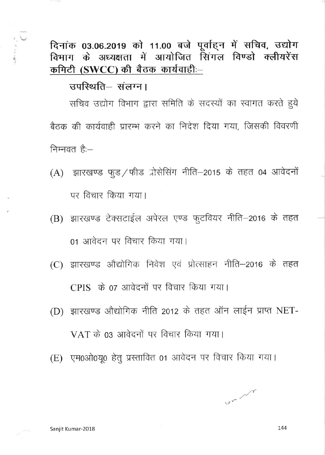दिनांक 03.06.2019 को 11.00 बजे पूर्वाहन में सचिव, उद्योग विभाग के अध्यक्षता में आयोजित सिंगल विण्डो क्लीयरेंस कमिटी (SWCC) की बैठक कार्यवाही:-

## उपस्थिति-संलग्न।

सचिव उद्योग विभाग द्वारा समिति के सदस्यों का स्वागत करते हुये बैठक की कार्यवाही प्रारम्भ करने का निदेश दिया गया. जिसकी विवरणी निम्नवत है:-

- (A) झारखण्ड फूड/फीड प्रोसेसिंग नीति-2015 के तहत 04 आवेदनों पर विचार किया गया।
- (B) झारखण्ड टेक्सटाईल अपेरल एण्ड फुटवियर नीति-2016 के तहत 01 आवेदन पर विचार किया गया।
- (C) झारखण्ड औद्योगिक निवेश एवं प्रोत्साहन नीति-2016 के तहत CPIS के 07 आवेदनों पर विचार किया गया।
- (D) झारखण्ड औद्योगिक नीति 2012 के तहत ऑन लाईन प्राप्त NET-VAT के 03 आवेदनों पर विचार किया गया।
- (E) एम0ओ0यू0 हेतु प्रस्तावित 01 आवेदन पर विचार किया गया।

un 1

144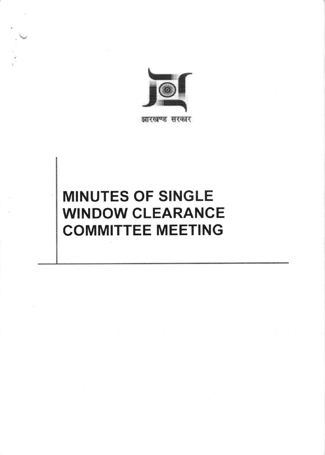

झारखण्ड सरकार

# **MINUTES OF SINGLE WINDOW CLEARANCE COMMITTEE MEETING**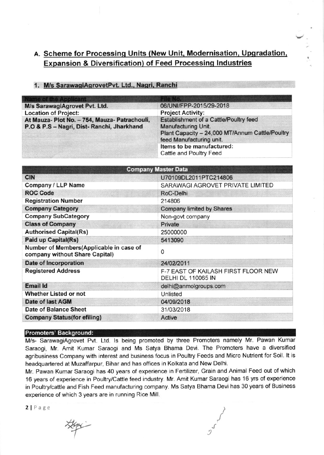## A. Scheme for Processing Units (New Unit, Modernisation, Upgradation, Expansion & Diversification) of Feed Processinq lndustries

| <b>Name of the Applicant</b>                                                                |                                                                                                                                              |  |  |
|---------------------------------------------------------------------------------------------|----------------------------------------------------------------------------------------------------------------------------------------------|--|--|
| M/s SarawagiAgrovet Pvt. Ltd.                                                               | 06/UNI/FPP-2015/29-2018                                                                                                                      |  |  |
| <b>Location of Project:</b>                                                                 | <b>Project Activity:</b>                                                                                                                     |  |  |
| At Mauza- Plot No. - 754, Mauza- Patrachouli,<br>P.O & P.S - Nagri, Dist- Ranchi, Jharkhand | Establishment of a Cattle/Poultry feed<br>Manufacturing Unit.<br>Plant Capacity - 24,000 MT/Annum Cattle/Poultry<br>feed Manufacturing unit. |  |  |
|                                                                                             | Items to be manufactured:<br>Cattle and Poultry Feed                                                                                         |  |  |

#### 1. M/s SarawagiAgrovetPvt. Ltd., Nagri, Ranchi

| <b>Company Master Data</b>                                                |                                                                  |  |  |  |
|---------------------------------------------------------------------------|------------------------------------------------------------------|--|--|--|
| <b>CIN</b>                                                                | U70109DL2011PTC214806                                            |  |  |  |
| Company / LLP Name                                                        | SARAWAGI AGROVET PRIVATE LIMITED                                 |  |  |  |
| <b>ROC Code</b>                                                           | RoC-Delhi                                                        |  |  |  |
| <b>Registration Number</b>                                                | 214806                                                           |  |  |  |
| <b>Company Category</b>                                                   | <b>Company limited by Shares</b>                                 |  |  |  |
| <b>Company SubCategory</b>                                                | Non-govt company                                                 |  |  |  |
| <b>Class of Company</b>                                                   | Private                                                          |  |  |  |
| <b>Authorised Capital(Rs)</b>                                             | 25000000                                                         |  |  |  |
| <b>Paid up Capital(Rs)</b>                                                | 5413090                                                          |  |  |  |
| Number of Members(Applicable in case of<br>company without Share Capital) | 0                                                                |  |  |  |
| <b>Date of Incorporation</b>                                              | 24/02/2011                                                       |  |  |  |
| <b>Registered Address</b>                                                 | F-7 EAST OF KAILASH FIRST FLOOR NEW<br><b>DELHI DL 110065 IN</b> |  |  |  |
| <b>Email Id</b>                                                           | delhi@anmolgroups.com                                            |  |  |  |
| Whether Listed or not                                                     | Unlisted                                                         |  |  |  |
| <b>Date of last AGM</b>                                                   | 04/09/2018                                                       |  |  |  |
| Date of Balance Sheet                                                     | 31/03/2018                                                       |  |  |  |
| <b>Company Status(for efiling)</b>                                        | <b>Active</b>                                                    |  |  |  |

#### Promoters' Background

M/s- SarawagiAgrovet Pvt. Ltd. ls being promoted by three Promoters namely Mr. Pawan Kumar Saraogi, Mr. Amit Kumar Saraogi and Ms Satya Bhama Devi. The Promoters have a diversified agribusiness Company with interest and business focus in Poultry Feeds and Micro Nutrient for Soil. lt is headquartered at Muzaffarpur, Bihar and has offices in Kolkata and New Delhi.

Mr. Pawan Kumar Saraogi has 40 years of experience in Fertilizer, Grain and Animal Feed out of which '16 years of experience in Poultry/Cattle feed industry. Mr. Amit Kumar Saraogi has 16 yrs of experience in Poultry/cattle and Fish Feed manufacturing company. Ms Satya Bhama Devi has 30 years of Business experience of which 3 years are in running Rice Mill.

 $21P$ age  $\frac{1}{\sqrt{2}}$ 

/ T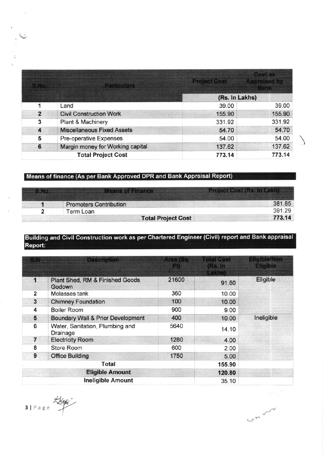|                | <b>Particulars</b>                | <b>Project Cost Appraised by</b> | <b>Cost as</b><br><b>ALCOHOL</b> |  |
|----------------|-----------------------------------|----------------------------------|----------------------------------|--|
|                |                                   | (Rs. In Lakhs)                   |                                  |  |
| 1              | Land                              | 39.00                            | 39.00                            |  |
| $\overline{2}$ | <b>Civil Construction Work</b>    | 155.90                           | 155.90                           |  |
| 3              | <b>Plant &amp; Machinery</b>      | 331.92                           | 331.92                           |  |
| 4              | <b>Miscellaneous Fixed Assets</b> | 54.70                            | 54.70                            |  |
| 5              | Pre-operative Expenses            | 54.00                            | 54.00                            |  |
| 6              | Margin money for Working capital  | 137.62                           | 137.62                           |  |
|                | <b>Total Project Cost</b>         | 773.14                           | 773.14                           |  |

## Means of finance (As per Bank Approved DPR and Bank Appraisal Report)

| <b>SyNe</b> | <b>Means of Finance A</b>     | <b>Project Cost (Rs. In Lakh)</b> |        |
|-------------|-------------------------------|-----------------------------------|--------|
|             | <b>Promoters Contribution</b> |                                   | 381 85 |
|             | Term Loan                     |                                   | 391.29 |
|             | <b>Total Project Cost</b>     |                                   | 773.14 |

### Building and Civil Construction work as per Chartered Engineer (Civil) report and Bank appraisal Report:

|                         | <b>Description</b>                           | Area t<br>扇 | ntal Cost<br><b>Rs. In</b><br><b>Lakhs</b> ) | <b>Eligible/Non</b><br><b>Eligible</b> |
|-------------------------|----------------------------------------------|-------------|----------------------------------------------|----------------------------------------|
| 1                       | Plant Shed, RM & Finished Goods<br>Godown    | 21600       | 91.80                                        | Eligible                               |
| $\overline{\mathbf{2}}$ | Molasses tank                                | 360         | 10.00                                        |                                        |
| 3                       | <b>Chimney Foundation</b>                    | 100         | 10.00                                        |                                        |
| 4                       | <b>Boiler Room</b>                           | 900         | 9.00                                         |                                        |
| 5                       | <b>Boundary Wall &amp; Prior Development</b> | 400         | 10.00                                        | Ineligible                             |
| 6                       | Water, Sanitation, Plumbing and<br>Drainage  | 5640        | 14.10                                        |                                        |
| $\overline{7}$          | <b>Electricity Room</b>                      | 1280        | 4.00                                         |                                        |
| 8                       | Store Room                                   | 600         | 2.00                                         |                                        |
| 9                       | <b>Office Building</b>                       | 1750        | 5.00                                         |                                        |
|                         | Total                                        |             | 155.90                                       |                                        |
| <b>Eligible Amount</b>  |                                              |             | 120.80                                       |                                        |
|                         | <b>Ineligible Amount</b>                     |             | 35.10                                        |                                        |

CALL

3/ Page type